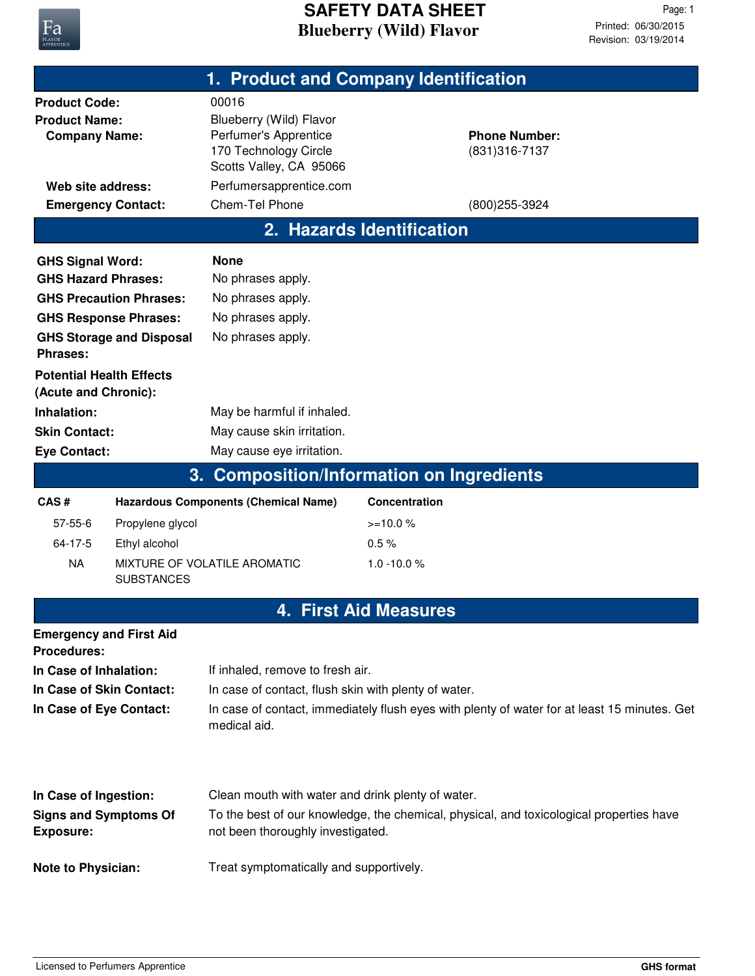

|                                                                                                                                                                        |                   | 1. Product and Company Identification                                                                                                                                |                              |                                                          |  |
|------------------------------------------------------------------------------------------------------------------------------------------------------------------------|-------------------|----------------------------------------------------------------------------------------------------------------------------------------------------------------------|------------------------------|----------------------------------------------------------|--|
| <b>Product Code:</b><br><b>Product Name:</b><br><b>Company Name:</b><br>Web site address:<br><b>Emergency Contact:</b>                                                 |                   | 00016<br>Blueberry (Wild) Flavor<br>Perfumer's Apprentice<br>170 Technology Circle<br>Scotts Valley, CA 95066<br>Perfumersapprentice.com<br>Chem-Tel Phone           |                              | <b>Phone Number:</b><br>(831) 316-7137<br>(800) 255-3924 |  |
|                                                                                                                                                                        |                   |                                                                                                                                                                      |                              |                                                          |  |
|                                                                                                                                                                        |                   |                                                                                                                                                                      | 2. Hazards Identification    |                                                          |  |
| <b>GHS Signal Word:</b><br><b>GHS Hazard Phrases:</b><br><b>GHS Precaution Phrases:</b><br><b>GHS Response Phrases:</b><br><b>GHS Storage and Disposal</b><br>Phrases: |                   | <b>None</b><br>No phrases apply.<br>No phrases apply.<br>No phrases apply.<br>No phrases apply.                                                                      |                              |                                                          |  |
| <b>Potential Health Effects</b><br>(Acute and Chronic):<br>Inhalation:<br><b>Skin Contact:</b><br><b>Eye Contact:</b>                                                  |                   | May be harmful if inhaled.<br>May cause skin irritation.<br>May cause eye irritation.                                                                                |                              |                                                          |  |
|                                                                                                                                                                        | 3.                | <b>Composition/Information on Ingredients</b>                                                                                                                        |                              |                                                          |  |
| CAS#                                                                                                                                                                   |                   | <b>Hazardous Components (Chemical Name)</b>                                                                                                                          | Concentration                |                                                          |  |
| $57 - 55 - 6$                                                                                                                                                          | Propylene glycol  |                                                                                                                                                                      | $>=10.0%$                    |                                                          |  |
| $64 - 17 - 5$                                                                                                                                                          | Ethyl alcohol     |                                                                                                                                                                      | 0.5%                         |                                                          |  |
| <b>NA</b>                                                                                                                                                              | <b>SUBSTANCES</b> | MIXTURE OF VOLATILE AROMATIC                                                                                                                                         | $1.0 - 10.0 %$               |                                                          |  |
|                                                                                                                                                                        |                   |                                                                                                                                                                      | <b>4. First Aid Measures</b> |                                                          |  |
| <b>Emergency and First Aid</b><br><b>Procedures:</b>                                                                                                                   |                   |                                                                                                                                                                      |                              |                                                          |  |
| In Case of Inhalation:                                                                                                                                                 |                   | If inhaled, remove to fresh air.                                                                                                                                     |                              |                                                          |  |
| In Case of Skin Contact:<br>In Case of Eye Contact:                                                                                                                    |                   | In case of contact, flush skin with plenty of water.<br>In case of contact, immediately flush eyes with plenty of water for at least 15 minutes. Get<br>medical aid. |                              |                                                          |  |
| In Case of Ingestion:                                                                                                                                                  |                   | Clean mouth with water and drink plenty of water.                                                                                                                    |                              |                                                          |  |
| <b>Signs and Symptoms Of</b><br><b>Exposure:</b>                                                                                                                       |                   | To the best of our knowledge, the chemical, physical, and toxicological properties have<br>not been thoroughly investigated.                                         |                              |                                                          |  |
| <b>Note to Physician:</b>                                                                                                                                              |                   | Treat symptomatically and supportively.                                                                                                                              |                              |                                                          |  |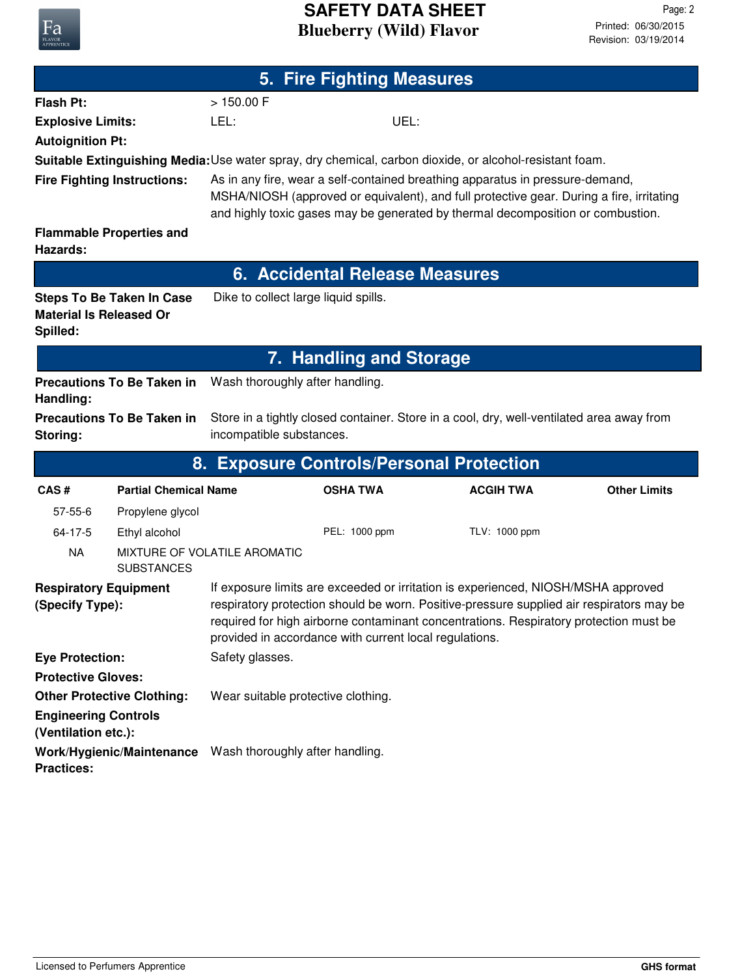## **Blueberry (Wild) Flavor SAFETY DATA SHEET**

| 5. Fire Fighting Measures                          |                                    |                                                                                                                                                                                                                                                                                                                                  |                                       |                                                                                                                                                                                                                                                              |                     |
|----------------------------------------------------|------------------------------------|----------------------------------------------------------------------------------------------------------------------------------------------------------------------------------------------------------------------------------------------------------------------------------------------------------------------------------|---------------------------------------|--------------------------------------------------------------------------------------------------------------------------------------------------------------------------------------------------------------------------------------------------------------|---------------------|
| <b>Flash Pt:</b>                                   |                                    | >150.00 F                                                                                                                                                                                                                                                                                                                        |                                       |                                                                                                                                                                                                                                                              |                     |
| <b>Explosive Limits:</b>                           |                                    | LEL:                                                                                                                                                                                                                                                                                                                             | UEL:                                  |                                                                                                                                                                                                                                                              |                     |
| <b>Autoignition Pt:</b>                            |                                    |                                                                                                                                                                                                                                                                                                                                  |                                       |                                                                                                                                                                                                                                                              |                     |
|                                                    |                                    |                                                                                                                                                                                                                                                                                                                                  |                                       | Suitable Extinguishing Media: Use water spray, dry chemical, carbon dioxide, or alcohol-resistant foam.                                                                                                                                                      |                     |
|                                                    | <b>Fire Fighting Instructions:</b> |                                                                                                                                                                                                                                                                                                                                  |                                       | As in any fire, wear a self-contained breathing apparatus in pressure-demand,<br>MSHA/NIOSH (approved or equivalent), and full protective gear. During a fire, irritating<br>and highly toxic gases may be generated by thermal decomposition or combustion. |                     |
| Hazards:                                           | <b>Flammable Properties and</b>    |                                                                                                                                                                                                                                                                                                                                  |                                       |                                                                                                                                                                                                                                                              |                     |
|                                                    |                                    |                                                                                                                                                                                                                                                                                                                                  | <b>6. Accidental Release Measures</b> |                                                                                                                                                                                                                                                              |                     |
| <b>Material Is Released Or</b><br>Spilled:         | <b>Steps To Be Taken In Case</b>   | Dike to collect large liquid spills.                                                                                                                                                                                                                                                                                             |                                       |                                                                                                                                                                                                                                                              |                     |
|                                                    |                                    |                                                                                                                                                                                                                                                                                                                                  | <b>7. Handling and Storage</b>        |                                                                                                                                                                                                                                                              |                     |
| Handling:                                          | <b>Precautions To Be Taken in</b>  | Wash thoroughly after handling.                                                                                                                                                                                                                                                                                                  |                                       |                                                                                                                                                                                                                                                              |                     |
| Storing:                                           | <b>Precautions To Be Taken in</b>  | incompatible substances.                                                                                                                                                                                                                                                                                                         |                                       | Store in a tightly closed container. Store in a cool, dry, well-ventilated area away from                                                                                                                                                                    |                     |
|                                                    |                                    |                                                                                                                                                                                                                                                                                                                                  |                                       | 8. Exposure Controls/Personal Protection                                                                                                                                                                                                                     |                     |
| CAS#                                               | <b>Partial Chemical Name</b>       |                                                                                                                                                                                                                                                                                                                                  | <b>OSHA TWA</b>                       | <b>ACGIH TWA</b>                                                                                                                                                                                                                                             | <b>Other Limits</b> |
| $57 - 55 - 6$                                      | Propylene glycol                   |                                                                                                                                                                                                                                                                                                                                  |                                       |                                                                                                                                                                                                                                                              |                     |
| 64-17-5                                            | Ethyl alcohol                      |                                                                                                                                                                                                                                                                                                                                  | PEL: 1000 ppm                         | TLV: 1000 ppm                                                                                                                                                                                                                                                |                     |
| <b>NA</b>                                          | <b>SUBSTANCES</b>                  | MIXTURE OF VOLATILE AROMATIC                                                                                                                                                                                                                                                                                                     |                                       |                                                                                                                                                                                                                                                              |                     |
| <b>Respiratory Equipment</b><br>(Specify Type):    |                                    | If exposure limits are exceeded or irritation is experienced, NIOSH/MSHA approved<br>respiratory protection should be worn. Positive-pressure supplied air respirators may be<br>required for high airborne contaminant concentrations. Respiratory protection must be<br>provided in accordance with current local regulations. |                                       |                                                                                                                                                                                                                                                              |                     |
| <b>Eye Protection:</b>                             |                                    | Safety glasses.                                                                                                                                                                                                                                                                                                                  |                                       |                                                                                                                                                                                                                                                              |                     |
| <b>Protective Gloves:</b>                          |                                    |                                                                                                                                                                                                                                                                                                                                  |                                       |                                                                                                                                                                                                                                                              |                     |
| <b>Other Protective Clothing:</b>                  |                                    | Wear suitable protective clothing.                                                                                                                                                                                                                                                                                               |                                       |                                                                                                                                                                                                                                                              |                     |
| <b>Engineering Controls</b><br>(Ventilation etc.): |                                    |                                                                                                                                                                                                                                                                                                                                  |                                       |                                                                                                                                                                                                                                                              |                     |
| <b>Practices:</b>                                  |                                    | Work/Hygienic/Maintenance Wash thoroughly after handling.                                                                                                                                                                                                                                                                        |                                       |                                                                                                                                                                                                                                                              |                     |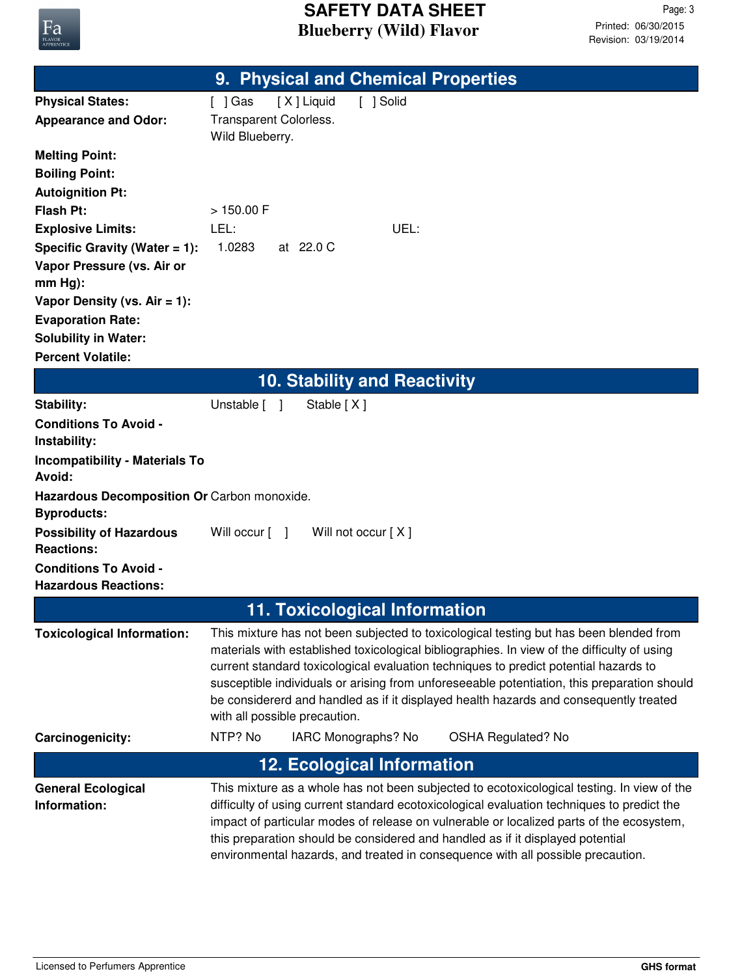

|                                                              | 9. Physical and Chemical Properties                                                                                                                                                                                                                                                                                                                                                                                                                                                                    |
|--------------------------------------------------------------|--------------------------------------------------------------------------------------------------------------------------------------------------------------------------------------------------------------------------------------------------------------------------------------------------------------------------------------------------------------------------------------------------------------------------------------------------------------------------------------------------------|
| <b>Physical States:</b>                                      | [X] Liquid<br>[ ] Solid<br>[ ] Gas                                                                                                                                                                                                                                                                                                                                                                                                                                                                     |
| <b>Appearance and Odor:</b>                                  | Transparent Colorless.<br>Wild Blueberry.                                                                                                                                                                                                                                                                                                                                                                                                                                                              |
| <b>Melting Point:</b>                                        |                                                                                                                                                                                                                                                                                                                                                                                                                                                                                                        |
| <b>Boiling Point:</b>                                        |                                                                                                                                                                                                                                                                                                                                                                                                                                                                                                        |
| <b>Autoignition Pt:</b>                                      |                                                                                                                                                                                                                                                                                                                                                                                                                                                                                                        |
| <b>Flash Pt:</b>                                             | >150.00 F                                                                                                                                                                                                                                                                                                                                                                                                                                                                                              |
| <b>Explosive Limits:</b><br>Specific Gravity (Water $= 1$ ): | LEL:<br>UEL:<br>1.0283<br>at 22.0 C                                                                                                                                                                                                                                                                                                                                                                                                                                                                    |
| Vapor Pressure (vs. Air or                                   |                                                                                                                                                                                                                                                                                                                                                                                                                                                                                                        |
| $mm Hg$ :                                                    |                                                                                                                                                                                                                                                                                                                                                                                                                                                                                                        |
| Vapor Density (vs. $Air = 1$ ):                              |                                                                                                                                                                                                                                                                                                                                                                                                                                                                                                        |
| <b>Evaporation Rate:</b>                                     |                                                                                                                                                                                                                                                                                                                                                                                                                                                                                                        |
| <b>Solubility in Water:</b><br><b>Percent Volatile:</b>      |                                                                                                                                                                                                                                                                                                                                                                                                                                                                                                        |
|                                                              | <b>10. Stability and Reactivity</b>                                                                                                                                                                                                                                                                                                                                                                                                                                                                    |
| <b>Stability:</b>                                            | Unstable [ ]<br>Stable [X]                                                                                                                                                                                                                                                                                                                                                                                                                                                                             |
| <b>Conditions To Avoid -</b>                                 |                                                                                                                                                                                                                                                                                                                                                                                                                                                                                                        |
| Instability:                                                 |                                                                                                                                                                                                                                                                                                                                                                                                                                                                                                        |
| <b>Incompatibility - Materials To</b><br>Avoid:              |                                                                                                                                                                                                                                                                                                                                                                                                                                                                                                        |
| Hazardous Decomposition Or Carbon monoxide.                  |                                                                                                                                                                                                                                                                                                                                                                                                                                                                                                        |
| <b>Byproducts:</b>                                           |                                                                                                                                                                                                                                                                                                                                                                                                                                                                                                        |
| <b>Possibility of Hazardous</b><br><b>Reactions:</b>         | Will not occur [X]<br>Will occur [ ]                                                                                                                                                                                                                                                                                                                                                                                                                                                                   |
| <b>Conditions To Avoid -</b><br><b>Hazardous Reactions:</b>  |                                                                                                                                                                                                                                                                                                                                                                                                                                                                                                        |
|                                                              | <b>11. Toxicological Information</b>                                                                                                                                                                                                                                                                                                                                                                                                                                                                   |
| <b>Toxicological Information:</b>                            | This mixture has not been subjected to toxicological testing but has been blended from<br>materials with established toxicological bibliographies. In view of the difficulty of using<br>current standard toxicological evaluation techniques to predict potential hazards to<br>susceptible individuals or arising from unforeseeable potentiation, this preparation should<br>be considererd and handled as if it displayed health hazards and consequently treated<br>with all possible precaution. |
| Carcinogenicity:                                             | NTP? No<br>IARC Monographs? No<br><b>OSHA Regulated? No</b>                                                                                                                                                                                                                                                                                                                                                                                                                                            |
|                                                              | <b>12. Ecological Information</b>                                                                                                                                                                                                                                                                                                                                                                                                                                                                      |
| <b>General Ecological</b>                                    | This mixture as a whole has not been subjected to ecotoxicological testing. In view of the                                                                                                                                                                                                                                                                                                                                                                                                             |
| Information:                                                 | difficulty of using current standard ecotoxicological evaluation techniques to predict the<br>impact of particular modes of release on vulnerable or localized parts of the ecosystem,<br>this preparation should be considered and handled as if it displayed potential<br>environmental hazards, and treated in consequence with all possible precaution.                                                                                                                                            |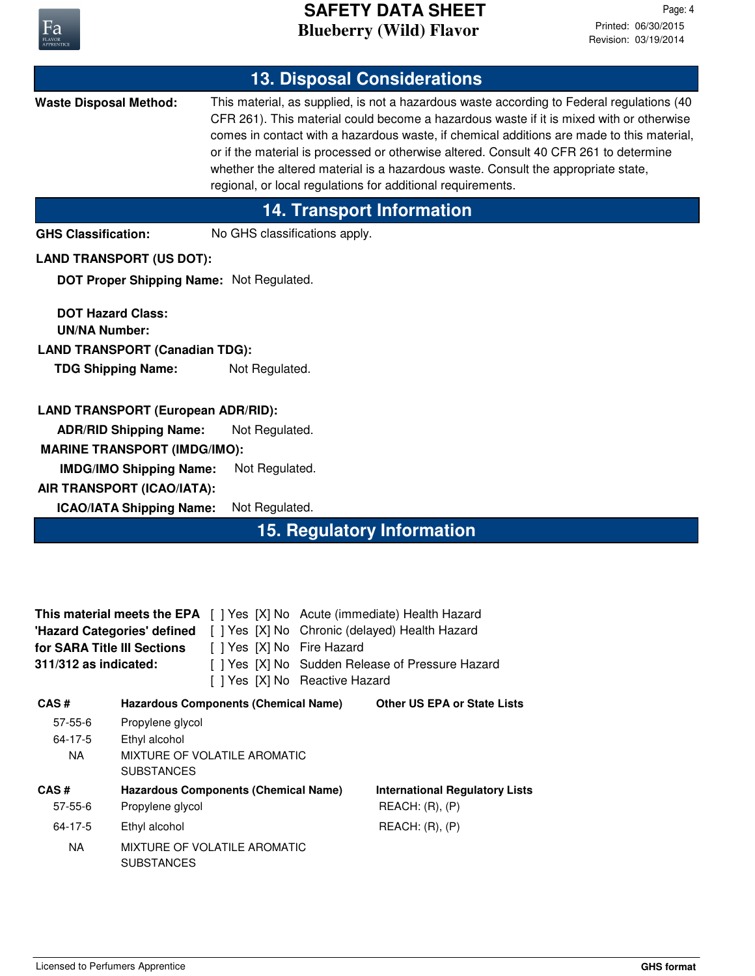

## **Blueberry (Wild) Flavor SAFETY DATA SHEET**

| <b>13. Disposal Considerations</b>                                                                                                                                                                                                                                                                                                   |                                                                                                                                                                                                                      |                                                             |                                                                                                                                                                                                                                                                                                                                                                                                                                                                 |  |
|--------------------------------------------------------------------------------------------------------------------------------------------------------------------------------------------------------------------------------------------------------------------------------------------------------------------------------------|----------------------------------------------------------------------------------------------------------------------------------------------------------------------------------------------------------------------|-------------------------------------------------------------|-----------------------------------------------------------------------------------------------------------------------------------------------------------------------------------------------------------------------------------------------------------------------------------------------------------------------------------------------------------------------------------------------------------------------------------------------------------------|--|
| <b>Waste Disposal Method:</b>                                                                                                                                                                                                                                                                                                        |                                                                                                                                                                                                                      | regional, or local regulations for additional requirements. | This material, as supplied, is not a hazardous waste according to Federal regulations (40<br>CFR 261). This material could become a hazardous waste if it is mixed with or otherwise<br>comes in contact with a hazardous waste, if chemical additions are made to this material,<br>or if the material is processed or otherwise altered. Consult 40 CFR 261 to determine<br>whether the altered material is a hazardous waste. Consult the appropriate state, |  |
|                                                                                                                                                                                                                                                                                                                                      |                                                                                                                                                                                                                      | <b>14. Transport Information</b>                            |                                                                                                                                                                                                                                                                                                                                                                                                                                                                 |  |
| <b>GHS Classification:</b>                                                                                                                                                                                                                                                                                                           |                                                                                                                                                                                                                      | No GHS classifications apply.                               |                                                                                                                                                                                                                                                                                                                                                                                                                                                                 |  |
|                                                                                                                                                                                                                                                                                                                                      | <b>LAND TRANSPORT (US DOT):</b>                                                                                                                                                                                      |                                                             |                                                                                                                                                                                                                                                                                                                                                                                                                                                                 |  |
|                                                                                                                                                                                                                                                                                                                                      |                                                                                                                                                                                                                      | DOT Proper Shipping Name: Not Regulated.                    |                                                                                                                                                                                                                                                                                                                                                                                                                                                                 |  |
| <b>DOT Hazard Class:</b><br><b>UN/NA Number:</b>                                                                                                                                                                                                                                                                                     | <b>LAND TRANSPORT (Canadian TDG):</b><br><b>TDG Shipping Name:</b>                                                                                                                                                   | Not Regulated.                                              |                                                                                                                                                                                                                                                                                                                                                                                                                                                                 |  |
|                                                                                                                                                                                                                                                                                                                                      | <b>LAND TRANSPORT (European ADR/RID):</b><br><b>ADR/RID Shipping Name:</b><br><b>MARINE TRANSPORT (IMDG/IMO):</b><br><b>IMDG/IMO Shipping Name:</b><br>AIR TRANSPORT (ICAO/IATA):<br><b>ICAO/IATA Shipping Name:</b> | Not Regulated.<br>Not Regulated.<br>Not Regulated.          |                                                                                                                                                                                                                                                                                                                                                                                                                                                                 |  |
|                                                                                                                                                                                                                                                                                                                                      |                                                                                                                                                                                                                      | <b>15. Regulatory Information</b>                           |                                                                                                                                                                                                                                                                                                                                                                                                                                                                 |  |
| This material meets the EPA [ ] Yes [X] No Acute (immediate) Health Hazard<br>'Hazard Categories' defined [ ] Yes [X] No Chronic (delayed) Health Hazard<br>for SARA Title III Sections<br>[ ] Yes [X] No Fire Hazard<br>[ ] Yes [X] No Sudden Release of Pressure Hazard<br>311/312 as indicated:<br>[ ] Yes [X] No Reactive Hazard |                                                                                                                                                                                                                      |                                                             |                                                                                                                                                                                                                                                                                                                                                                                                                                                                 |  |
| CAS#                                                                                                                                                                                                                                                                                                                                 |                                                                                                                                                                                                                      | <b>Hazardous Components (Chemical Name)</b>                 | <b>Other US EPA or State Lists</b>                                                                                                                                                                                                                                                                                                                                                                                                                              |  |
| 57-55-6<br>$64 - 17 - 5$                                                                                                                                                                                                                                                                                                             | Propylene glycol<br>Ethyl alcohol                                                                                                                                                                                    |                                                             |                                                                                                                                                                                                                                                                                                                                                                                                                                                                 |  |
| <b>NA</b>                                                                                                                                                                                                                                                                                                                            | <b>SUBSTANCES</b>                                                                                                                                                                                                    | MIXTURE OF VOLATILE AROMATIC                                |                                                                                                                                                                                                                                                                                                                                                                                                                                                                 |  |
| CAS#                                                                                                                                                                                                                                                                                                                                 |                                                                                                                                                                                                                      | <b>Hazardous Components (Chemical Name)</b>                 | <b>International Regulatory Lists</b>                                                                                                                                                                                                                                                                                                                                                                                                                           |  |
| $57 - 55 - 6$                                                                                                                                                                                                                                                                                                                        | Propylene glycol                                                                                                                                                                                                     |                                                             | REACH: (R), (P)                                                                                                                                                                                                                                                                                                                                                                                                                                                 |  |
| $64 - 17 - 5$                                                                                                                                                                                                                                                                                                                        | Ethyl alcohol                                                                                                                                                                                                        |                                                             | REACH: (R), (P)                                                                                                                                                                                                                                                                                                                                                                                                                                                 |  |
| <b>NA</b>                                                                                                                                                                                                                                                                                                                            | <b>SUBSTANCES</b>                                                                                                                                                                                                    | MIXTURE OF VOLATILE AROMATIC                                |                                                                                                                                                                                                                                                                                                                                                                                                                                                                 |  |